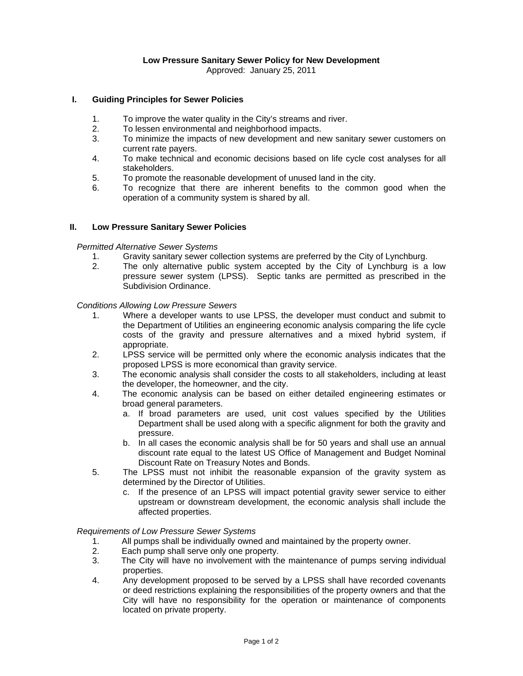Approved: January 25, 2011

## **I. Guiding Principles for Sewer Policies**

- 1. To improve the water quality in the City's streams and river.
- 2. To lessen environmental and neighborhood impacts.
- 3. To minimize the impacts of new development and new sanitary sewer customers on current rate payers.
- 4. To make technical and economic decisions based on life cycle cost analyses for all stakeholders.
- 5. To promote the reasonable development of unused land in the city.
- 6. To recognize that there are inherent benefits to the common good when the operation of a community system is shared by all.

## **II. Low Pressure Sanitary Sewer Policies**

*Permitted Alternative Sewer Systems* 

- 1. Gravity sanitary sewer collection systems are preferred by the City of Lynchburg.
- 2. The only alternative public system accepted by the City of Lynchburg is a low pressure sewer system (LPSS). Septic tanks are permitted as prescribed in the Subdivision Ordinance.

*Conditions Allowing Low Pressure Sewers* 

- 1. Where a developer wants to use LPSS, the developer must conduct and submit to the Department of Utilities an engineering economic analysis comparing the life cycle costs of the gravity and pressure alternatives and a mixed hybrid system, if appropriate.
- 2. LPSS service will be permitted only where the economic analysis indicates that the proposed LPSS is more economical than gravity service.
- 3. The economic analysis shall consider the costs to all stakeholders, including at least the developer, the homeowner, and the city.
- 4. The economic analysis can be based on either detailed engineering estimates or broad general parameters.
	- a. If broad parameters are used, unit cost values specified by the Utilities Department shall be used along with a specific alignment for both the gravity and pressure.
	- b. In all cases the economic analysis shall be for 50 years and shall use an annual discount rate equal to the latest US Office of Management and Budget Nominal Discount Rate on Treasury Notes and Bonds.
- 5. The LPSS must not inhibit the reasonable expansion of the gravity system as determined by the Director of Utilities.
	- c. If the presence of an LPSS will impact potential gravity sewer service to either upstream or downstream development, the economic analysis shall include the affected properties.

## *Requirements of Low Pressure Sewer Systems*

- 1. All pumps shall be individually owned and maintained by the property owner.
- 2. Each pump shall serve only one property.
- 3. The City will have no involvement with the maintenance of pumps serving individual properties.
- 4. Any development proposed to be served by a LPSS shall have recorded covenants or deed restrictions explaining the responsibilities of the property owners and that the City will have no responsibility for the operation or maintenance of components located on private property.